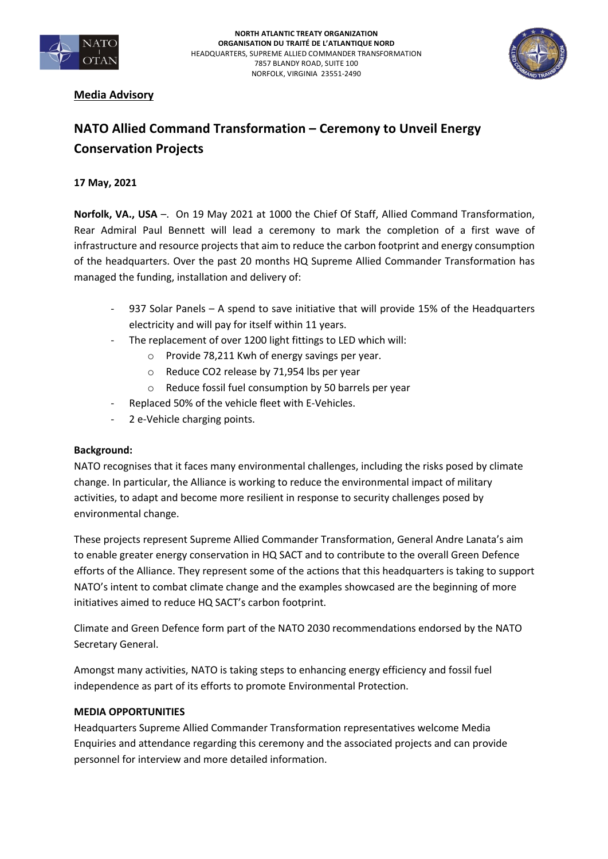



## **Media Advisory**

# **NATO Allied Command Transformation – Ceremony to Unveil Energy Conservation Projects**

### **17 May, 2021**

**Norfolk, VA., USA** –. On 19 May 2021 at 1000 the Chief Of Staff, Allied Command Transformation, Rear Admiral Paul Bennett will lead a ceremony to mark the completion of a first wave of infrastructure and resource projects that aim to reduce the carbon footprint and energy consumption of the headquarters. Over the past 20 months HQ Supreme Allied Commander Transformation has managed the funding, installation and delivery of:

- 937 Solar Panels A spend to save initiative that will provide 15% of the Headquarters electricity and will pay for itself within 11 years.
- The replacement of over 1200 light fittings to LED which will:
	- o Provide 78,211 Kwh of energy savings per year.
	- o Reduce CO2 release by 71,954 lbs per year
	- o Reduce fossil fuel consumption by 50 barrels per year
- Replaced 50% of the vehicle fleet with E-Vehicles.
- 2 e-Vehicle charging points.

#### **Background:**

NATO recognises that it faces many environmental challenges, including the risks posed by climate change. In particular, the Alliance is working to reduce the environmental impact of military activities, to adapt and become more resilient in response to security challenges posed by environmental change.

These projects represent Supreme Allied Commander Transformation, General Andre Lanata's aim to enable greater energy conservation in HQ SACT and to contribute to the overall Green Defence efforts of the Alliance. They represent some of the actions that this headquarters is taking to support NATO's intent to combat climate change and the examples showcased are the beginning of more initiatives aimed to reduce HQ SACT's carbon footprint.

Climate and Green Defence form part of the NATO 2030 recommendations endorsed by the NATO Secretary General.

Amongst many activities, NATO is taking steps to enhancing energy efficiency and fossil fuel independence as part of its efforts to promote Environmental Protection.

#### **MEDIA OPPORTUNITIES**

Headquarters Supreme Allied Commander Transformation representatives welcome Media Enquiries and attendance regarding this ceremony and the associated projects and can provide personnel for interview and more detailed information.